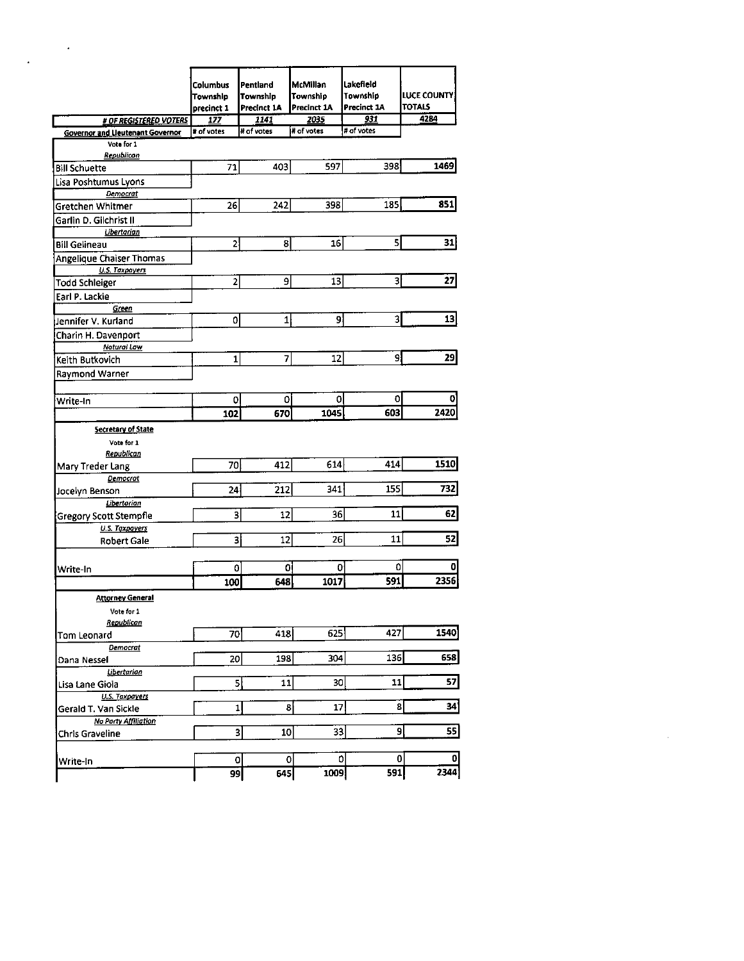|                                         | Columbus<br>Township<br>precinct 1 | Pentland<br>Township<br>Precinct 1A | <b>McMillan</b><br>Township<br>Precinct 1A | Lakefield<br>Township<br><b>Precinct 1A</b> | <b>LUCE COUNTY!</b><br><b>TOTALS</b> |
|-----------------------------------------|------------------------------------|-------------------------------------|--------------------------------------------|---------------------------------------------|--------------------------------------|
| # OF REGISTERED VOTERS                  | 177                                | 1141                                | 2035                                       | 931                                         | 4284                                 |
| <b>Governor and Lleutenant Governor</b> | # of votes                         | # of votes                          | # of votes                                 | # of votes                                  |                                      |
| Vote for 1                              |                                    |                                     |                                            |                                             |                                      |
| Republican<br><b>Bill Schuette</b>      | 71                                 | 403                                 | 597                                        | 398                                         | 1469                                 |
|                                         |                                    |                                     |                                            |                                             |                                      |
| Lisa Poshtumus Lyons<br>Democrat        |                                    |                                     |                                            |                                             |                                      |
| Gretchen Whitmer                        | 26                                 | 242                                 | 398                                        | 185                                         | 851                                  |
| Garlin D. Gilchrist II                  |                                    |                                     |                                            |                                             |                                      |
| Libertarian                             |                                    |                                     |                                            |                                             |                                      |
| <b>Bill Gelineau</b>                    | $\overline{2}$                     | 8                                   | 16                                         | $\overline{\phantom{a}}$                    | 31                                   |
| <b>Angelique Chaiser Thomas</b>         |                                    |                                     |                                            |                                             |                                      |
| <b>U.S. Taxpayers</b>                   |                                    |                                     |                                            |                                             |                                      |
| <b>Todd Schleiger</b>                   | 2                                  | $\mathbf{g}$                        | 13                                         | $\mathbf{3}$                                | 27                                   |
| Earl P. Lackie                          |                                    |                                     |                                            |                                             |                                      |
| Green                                   |                                    |                                     |                                            |                                             |                                      |
| Jennifer V. Kurland                     | 0                                  | $1\vert$                            | $\mathsf{S}$                               | $\overline{\mathbf{3}}$                     | 13                                   |
| Charin H. Davenport                     |                                    |                                     |                                            |                                             |                                      |
| <b>Notural Law</b>                      |                                    |                                     |                                            |                                             |                                      |
| Keith Butkovich                         | $\mathbf 1$                        | 7                                   | 12                                         | 9                                           | 29                                   |
| Raymond Warner                          |                                    |                                     |                                            |                                             |                                      |
|                                         |                                    |                                     |                                            |                                             |                                      |
| Write-In                                | 0                                  | $\Omega$                            | οI                                         | 0                                           | o                                    |
|                                         | 102                                | 670                                 | 1045                                       | 603                                         | 2420                                 |
| <b>Secretary of State</b>               |                                    |                                     |                                            |                                             |                                      |
| Vote for 1                              |                                    |                                     |                                            |                                             |                                      |
| Republican                              |                                    |                                     |                                            |                                             |                                      |
| Mary Treder Lang                        | 70                                 | 412                                 | 614                                        | 414                                         | 1510                                 |
| Democrat                                |                                    |                                     |                                            |                                             |                                      |
| Jocelyn Benson                          | 24                                 | 212                                 | 341                                        | 155                                         | 732                                  |
| Libertarian                             |                                    |                                     |                                            |                                             |                                      |
| Gregory Scott Stempfle                  | 3                                  | 12                                  | 36                                         | 11                                          | 62                                   |
| <b>U.S. Taxpayers</b>                   |                                    |                                     |                                            |                                             |                                      |
| <b>Robert Gale</b>                      | 3                                  | 12                                  | 26                                         | 11                                          | 52                                   |
|                                         |                                    |                                     |                                            |                                             |                                      |
| Write-In                                | 0                                  | οl                                  | οl                                         | 0                                           | 0                                    |
|                                         | 100                                | 648                                 | 1017                                       | 591                                         | 2356                                 |
| <b>Attorney General</b>                 |                                    |                                     |                                            |                                             |                                      |
| Vote for 1                              |                                    |                                     |                                            |                                             |                                      |
| Republican                              |                                    |                                     |                                            |                                             |                                      |
| Tom Leonard                             | 70                                 | 418                                 | 625                                        | 427                                         | 1540                                 |
| Democrat                                |                                    |                                     |                                            |                                             |                                      |
| Dana Nessel                             | 20                                 | 198                                 | 304                                        | 136                                         | 658                                  |
| Libertarian                             |                                    |                                     |                                            |                                             |                                      |
| Lisa Lane Gioia                         |                                    | $\overline{5}$<br>11                | 30                                         | 11                                          | 57                                   |
| U.S. Taxpayers                          |                                    |                                     |                                            |                                             |                                      |
| Gerald T. Van Sickle                    | 1                                  | 8                                   | 17                                         | 8                                           | 34                                   |
| <b>No Party Affiliation</b>             |                                    |                                     |                                            |                                             |                                      |
| Chris Graveline                         |                                    | 3<br>10 <sup>1</sup>                | 33                                         | 9                                           | 55                                   |
|                                         |                                    |                                     |                                            |                                             |                                      |
| Write-In                                | 0                                  | 0                                   | ol                                         | 0                                           | 0                                    |
|                                         |                                    |                                     |                                            |                                             |                                      |

 $\label{eq:2.1} \mathcal{L}(\mathcal{L}^{\text{max}}_{\mathcal{L}}(\mathcal{L}^{\text{max}}_{\mathcal{L}}),\mathcal{L}^{\text{max}}_{\mathcal{L}}(\mathcal{L}^{\text{max}}_{\mathcal{L}}))$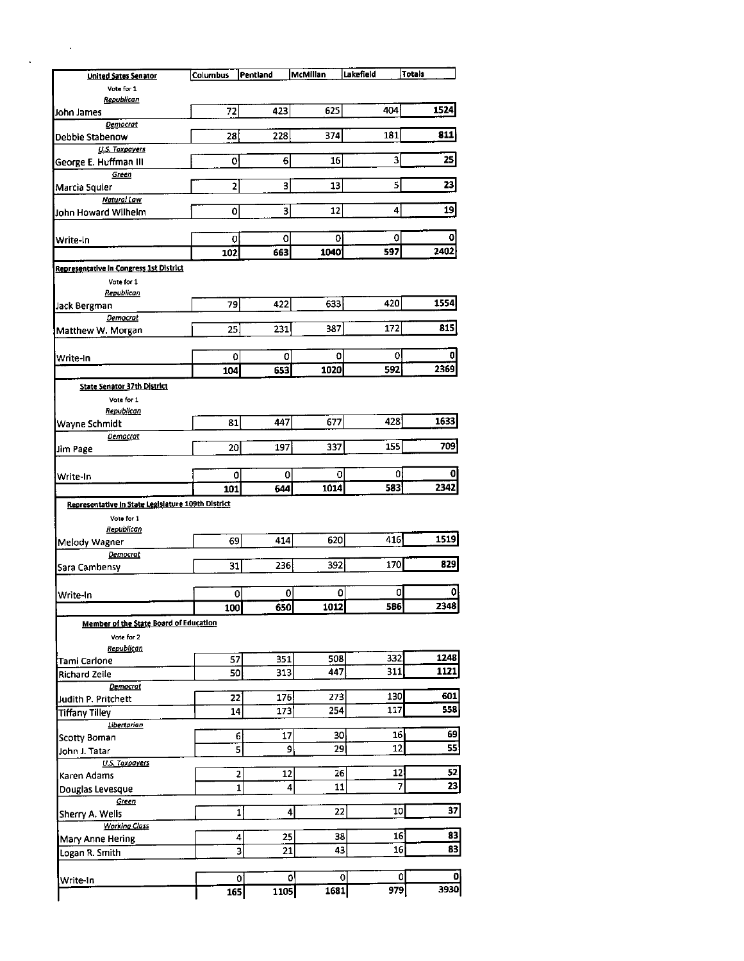| <b>United Sates Senator</b>                        | Columbus   | Pentland                | McMillan             | Lakefield           | <b>Totals</b> |
|----------------------------------------------------|------------|-------------------------|----------------------|---------------------|---------------|
| Vote for 1                                         |            |                         |                      |                     |               |
| Republican<br>John James                           | 72         | 423                     | 625                  | 404                 | 1524          |
| Democrat                                           |            |                         |                      |                     |               |
| Debbie Stabenow                                    | 28         | 228                     | 374                  | 181                 | 811           |
| <b>U.S. Taxpayers</b>                              |            |                         |                      |                     |               |
| George E. Huffman III                              | 0          | 6                       | 16                   | 3                   | 25            |
| Green                                              |            | 3                       |                      | 5                   | 23            |
| Marcia Squier<br>Natural Law                       | 2          |                         | 13                   |                     |               |
| John Howard Wilhelm                                | 0          | $\overline{\mathbf{3}}$ | 12                   | 4                   | 19            |
|                                                    |            |                         |                      |                     |               |
| Write-In                                           | 0          | 0                       | 0                    | 0                   | 0             |
|                                                    | 102        | 663                     | 1040                 | 597                 | 2402          |
| <b>Representative In Congress 1st District</b>     |            |                         |                      |                     |               |
| Vote for 1                                         |            |                         |                      |                     |               |
| Republican                                         |            |                         |                      |                     |               |
| Jack Bergman                                       | 79         | 422                     | 633                  | 420                 | 1554          |
| Democrat                                           | 25         | 231                     | 387                  | 172                 | 815           |
| Matthew W. Morgan                                  |            |                         |                      |                     |               |
| Write-In                                           | 0          | 0                       | 0                    | 0                   | 0             |
|                                                    | 104        | 653                     | 1020                 | 592                 | 2369          |
| State Senator 37th District                        |            |                         |                      |                     |               |
| Vote for 1                                         |            |                         |                      |                     |               |
| Republican                                         |            |                         |                      |                     |               |
| Wayne Schmidt                                      | 81         | 447                     | 677                  | 428                 | 1633          |
| Democrat                                           |            |                         |                      |                     |               |
| Jim Page                                           | 20         | 197                     | 337                  | 155                 | 709           |
|                                                    |            |                         |                      |                     |               |
| Write-In                                           | 0          | 0                       | 0<br>1014            | οl<br>583           | 0<br>2342     |
|                                                    | 101        | 644                     |                      |                     |               |
| Representative In State Legislature 109th District |            |                         |                      |                     |               |
| Vote for 1<br>Republican                           |            |                         |                      |                     |               |
| Melody Wagner                                      | 69         | 414                     | 620                  | 416                 | 1519          |
| Democrat                                           |            |                         |                      |                     |               |
| Sara Cambensy                                      | 31         | 236                     | 392                  | 170                 | 829           |
|                                                    |            |                         |                      |                     |               |
| Write-In                                           |            | $\mathbf{0}$            | 0<br>0               | O                   | o             |
|                                                    | 100        | 650                     | 1012                 | 586                 | 2348          |
| Member of the State Board of Education             |            |                         |                      |                     |               |
| Vote for 2                                         |            |                         |                      |                     |               |
| Republican                                         |            |                         |                      |                     | 1248          |
| Tami Carlone                                       | 57         | 351                     | 508<br>447           | 332<br>311          | 1121          |
| <b>Richard Zeile</b>                               | 50         | 313                     |                      |                     |               |
| Democrat<br>Judith P. Pritchett                    | 22         | 176                     | 273                  | 130                 | 601           |
| <b>Tiffany Tilley</b>                              | ${\bf 14}$ | 173                     | 254                  | 117                 | 558           |
| Libertarian                                        |            |                         |                      |                     |               |
| <b>Scotty Boman</b>                                |            | 6<br>17                 | 30                   | 16                  | 69            |
| John J. Tatar                                      |            | 5                       | 29<br>9              | 12                  | 55            |
|                                                    |            |                         |                      |                     |               |
| U.S. Taxpayers                                     |            | 2<br>12                 | 26                   | 12                  | 52            |
| Karen Adams                                        |            |                         | 11<br>4              | 7                   | 23            |
| Douglas Levesque                                   |            | $\mathbf{1}$            |                      |                     |               |
| Green                                              |            |                         |                      |                     |               |
| Sherry A. Wells                                    |            | $\mathbf{1}$            | 22<br>$\overline{4}$ | 10                  | 37            |
| <b>Working Class</b>                               |            | 25                      |                      | 16                  | 83            |
| Mary Anne Hering                                   |            | 4<br>21                 | 38<br>43             | 16                  | 83            |
| Logan R. Smith                                     |            | $\overline{\mathbf{3}}$ |                      |                     |               |
| Write-In                                           |            | $\mathbf{0}$            | 0                    | 0<br>$\overline{0}$ | 0             |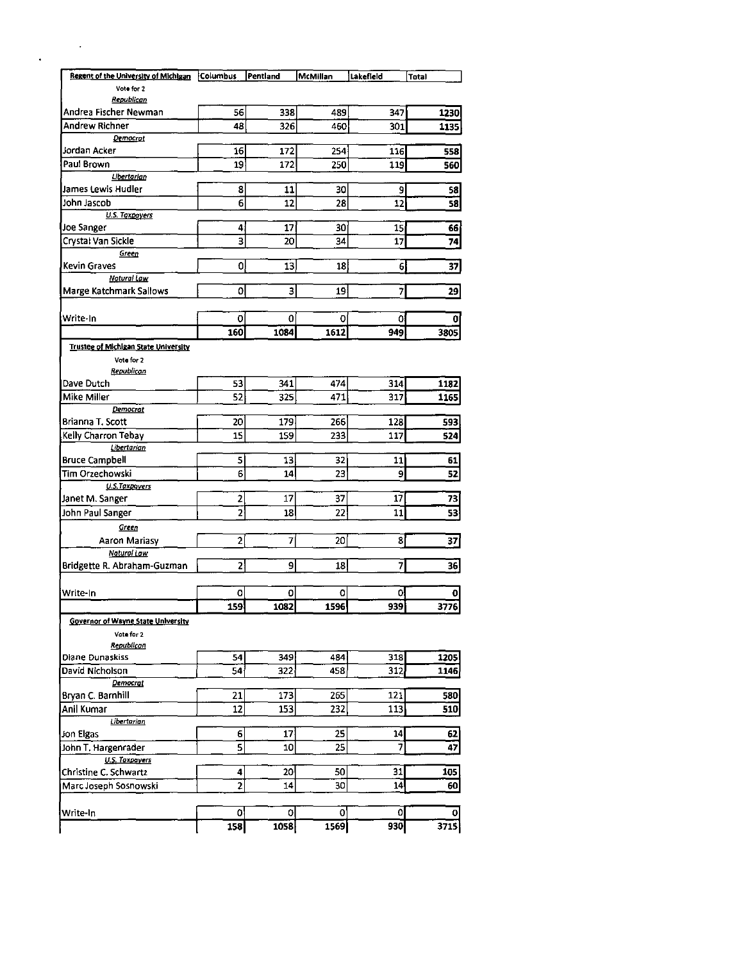| Regent of the University of Michigan                           | Columbus       | Pentland        | <b>McMillan</b> | Lakefield               | <b>Total</b> |
|----------------------------------------------------------------|----------------|-----------------|-----------------|-------------------------|--------------|
| Vote for 2                                                     |                |                 |                 |                         |              |
| Republican                                                     |                |                 |                 |                         |              |
| Andrea Fischer Newman                                          | 56             | 338             | 489             | 347                     | 1230         |
| Andrew Richner                                                 | 48             | 326             | 460             | 301                     | 1135         |
| Democrat                                                       |                |                 |                 |                         |              |
| Jordan Acker                                                   | 16             | 172             | 254             | 116                     | 558          |
| Paul Brown                                                     | 19             | 172             | 250             | 119                     | 560          |
| Libertarian<br>James Lewis Hudler                              |                | 11              |                 |                         |              |
| John Jascob                                                    | 8<br>6         | 12              | 30<br>28        | 9<br>12                 | 58           |
| <b>U.S. Taxpayers</b>                                          |                |                 |                 |                         | 58           |
| Joe Sanger                                                     | 4              | 17              | 30              | 15 <sub>l</sub>         | 66           |
| Crystal Van Sickle                                             | 3              | 20              | 34              | 17                      | 74           |
| Green                                                          |                |                 |                 |                         |              |
| <b>Kevin Graves</b>                                            | 0              | 13              | 18              | 6                       | 37           |
| Natural Law                                                    |                |                 |                 |                         |              |
| Marge Katchmark Sallows                                        | 0              | 3               | 19              | 7                       | 29           |
|                                                                |                |                 |                 |                         |              |
| Write-In                                                       | 0              | 0               | 0               | 0                       | 0            |
|                                                                | 160            | 1084            | 1612            | 949                     | 3805         |
| Trustee of Michigan State University                           |                |                 |                 |                         |              |
| Vote for 2                                                     |                |                 |                 |                         |              |
| Republican                                                     |                |                 |                 |                         |              |
| Dave Dutch                                                     | 53             | 341             | 474             | 314                     | 1182         |
| Mike Miller                                                    | 52             | 325             | 471             | 317                     | 1165         |
| Democrat<br>Brianna T. Scott                                   | 20             | 179             | 266             | 128                     | 593          |
| Kelly Charron Tebay                                            | 15             | 159             | 233             | 117                     | 524          |
| Libertarian                                                    |                |                 |                 |                         |              |
| <b>Bruce Campbell</b>                                          | 5              | 13              | 32              | 11                      | 61           |
| Tim Orzechowski                                                | 6              | 14              | 23              | 9                       | 52           |
| U.S.Taxpoyers                                                  |                |                 |                 |                         |              |
| Janet M. Sanger                                                | 2              | 17              | 37              | 17                      | 73           |
| John Paul Sanger                                               | $\overline{2}$ | 18              | 22              | 11                      | 53           |
| Green                                                          |                |                 |                 |                         |              |
| Aaron Mariasy                                                  | $\overline{2}$ | 7               | 20 <sub>1</sub> | 81                      | 37           |
| Natural Law                                                    |                |                 |                 |                         |              |
| Bridgette R. Abraham-Guzman                                    | 2              | 9               | 18 <sup>1</sup> | $\overline{\mathbf{z}}$ | 36           |
|                                                                |                |                 |                 |                         |              |
| Write-In                                                       | o              | 0               | O               | 0                       |              |
|                                                                | 159            | 1082            | 1596            | 939                     | 3776         |
| Governor of Wayne State University<br>Vote for 2<br>Republican |                |                 |                 |                         |              |
| Diane Dunaskiss                                                | 54             | 349             | 4841            | 318                     | 1205         |
| David Nicholson                                                | 54             | 322             | 458             | 312                     | 1146         |
| Democrat                                                       |                |                 |                 |                         |              |
| Bryan C. Barnhill                                              | 21             | 173             | 265             | 121                     | 580          |
| Anil Kumar                                                     | 12             | 153             | 232             | 113                     | 510          |
| Libertarian                                                    |                |                 |                 |                         |              |
| Jon Elgas                                                      | 6              | 17 <sup>3</sup> | 25              | 14                      | 62           |
| John T. Hargenrader                                            | 5              | 10              | 25              | 7                       | 47           |
| <b>U.S. Taxpayers</b><br>Christine C. Schwartz                 | 4              | ا20             | 50              | 31                      | 105          |
| Marc Joseph Sosnowski                                          | 2              | 14              | 30              | 14                      | 60           |
|                                                                |                |                 |                 |                         |              |
| Write-In                                                       | 0              | 0               | οl              | 0                       | 0            |
|                                                                |                |                 |                 |                         |              |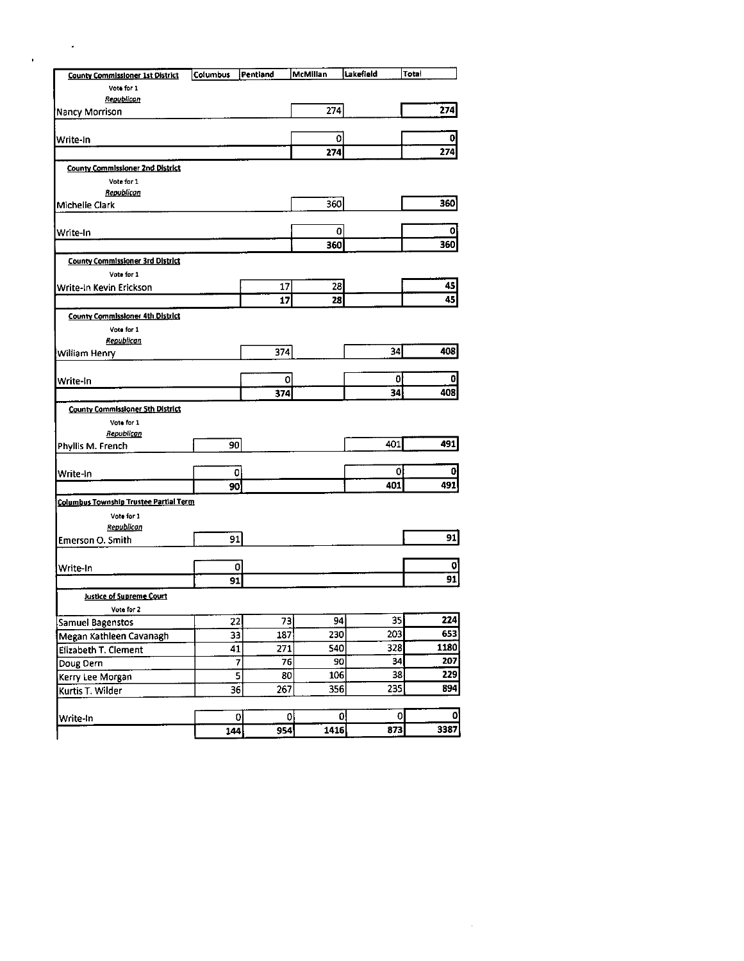| <b>County Commissioner 1st District</b>       | <b>Columbus</b> | Pentland        | McMillan   | Lakefield     | Total |
|-----------------------------------------------|-----------------|-----------------|------------|---------------|-------|
| Vote for 1                                    |                 |                 |            |               |       |
| Republican                                    |                 |                 |            |               |       |
| <b>Nancy Morrison</b>                         |                 |                 | 274        |               |       |
| Write-In                                      |                 |                 | 0          |               |       |
|                                               |                 |                 | 274        |               |       |
| <b>County Commissioner 2nd District</b>       |                 |                 |            |               |       |
| Vote for 1                                    |                 |                 |            |               |       |
| Republican                                    |                 |                 |            |               |       |
| Michelle Clark                                |                 |                 | 360        |               |       |
| Write-In                                      |                 |                 |            | $\mathbf{0}$  |       |
|                                               |                 |                 | 360        |               |       |
| <b>County Commissioner 3rd District</b>       |                 |                 |            |               |       |
| Vote for 1                                    |                 |                 |            |               |       |
| Write-In Kevin Erickson                       |                 |                 | 28<br>17   |               |       |
|                                               |                 |                 | 17<br>28   |               |       |
| <b>County Commissioner 4th District</b>       |                 |                 |            |               |       |
| Vota for 1                                    |                 |                 |            |               |       |
| Republican                                    |                 |                 |            |               |       |
| William Henry                                 |                 | 374             |            | 34            |       |
|                                               |                 |                 | 0          | 0             |       |
| Write-In                                      |                 | 374             |            | 34            |       |
| <b>County Commissioner 5th District</b>       |                 |                 |            |               |       |
| Vote for 1                                    |                 |                 |            |               |       |
| Republican                                    |                 |                 |            |               |       |
| Phyllis M. French                             |                 | 90              |            | 401           |       |
|                                               |                 |                 |            |               |       |
| Write-In                                      |                 | 0               |            | 0             |       |
|                                               |                 | 90              |            | 401           |       |
| <b>Columbus Township Trustee Partial Term</b> |                 |                 |            |               |       |
| Vote for 1<br>Republican                      |                 |                 |            |               |       |
| Emerson O. Smith                              |                 | 91              |            |               |       |
|                                               |                 |                 |            |               |       |
| Write-In                                      |                 | 0               |            |               |       |
|                                               |                 | $\overline{91}$ |            |               |       |
| Justice of Supreme Court                      |                 |                 |            |               |       |
| Vote for 2                                    |                 |                 |            |               |       |
| <b>Samuel Bagenstos</b>                       |                 | 22              | 94<br>73   | 35            |       |
| Megan Kathleen Cavanagh                       |                 | 33              | 187<br>230 | 203           |       |
| Elizabeth T. Clement                          |                 | 41              | 540<br>271 | 328           |       |
| Doug Dern                                     |                 | 7               | 90<br>76   | 34            |       |
| Kerry Lee Morgan                              |                 | 5               | 106<br>80  | 38            |       |
| Kurtis T. Wilder                              |                 | 36              | 356<br>267 | 235           |       |
|                                               |                 |                 |            |               |       |
| Write-In                                      | 144             | 0               | 0<br>1415  | 0<br>0<br>873 |       |
|                                               |                 |                 | 954        |               |       |

 $\mathcal{L}^{\text{max}}_{\text{max}}$  and  $\mathcal{L}^{\text{max}}_{\text{max}}$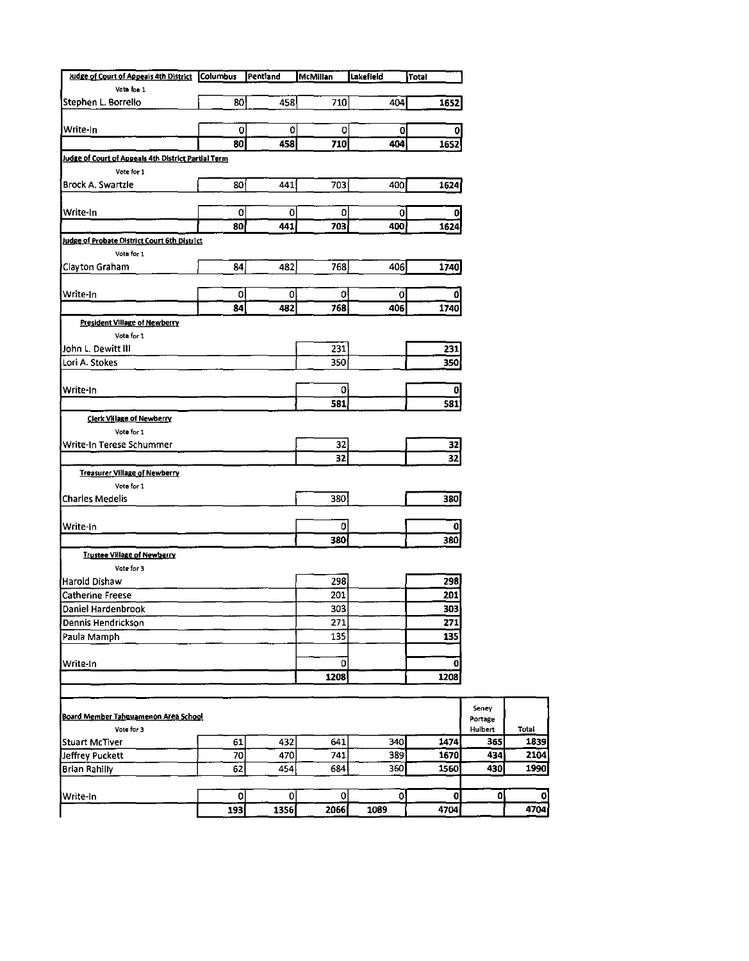| Judge of Court of Appeals 4th District                      | Columbus | Pentland     | <b>McMillan</b> | Lakefield | Total |                  |
|-------------------------------------------------------------|----------|--------------|-----------------|-----------|-------|------------------|
| Vote foe 1                                                  |          |              |                 |           |       |                  |
| Stephen L. Borrello                                         | 80       | 458          | 710             | 404       | 1652  |                  |
| Write-In                                                    | 0        | 0            | 0               | 0         | 0     |                  |
|                                                             | 80       | 458          | 710             | 404       | 1652  |                  |
| <u> Judge of Court of Appeals 4th District Partial Term</u> |          |              |                 |           |       |                  |
| Vote for 1                                                  |          |              |                 |           |       |                  |
| Brock A. Swartzle                                           | 80       | 441          | 703             | 400       | 1624  |                  |
| Write-In                                                    | 0        | 0            | 0               | 0         |       |                  |
|                                                             | 80       | 441          | 703             | 400       | 1624  |                  |
| <b>Judge of Probate District Court 6th District</b>         |          |              |                 |           |       |                  |
| Vote for 1                                                  |          |              |                 |           |       |                  |
| Clayton Graham                                              | 84       | 482          | 768             | 406       | 1740  |                  |
| Write-In                                                    | ٥        | 0            | ٥               | 0         | ٥     |                  |
|                                                             | 84       | 482          | 768             | 406       | 1740  |                  |
| President Village of Newberry                               |          |              |                 |           |       |                  |
| Vote for 1                                                  |          |              |                 |           |       |                  |
| John L. Dewitt III                                          |          |              | 231             |           | 231   |                  |
| Lori A. Stokes                                              |          |              | 350             |           | 350   |                  |
| Write-In                                                    |          |              | 0               |           | 0     |                  |
|                                                             |          |              | 581             |           | 581   |                  |
| <b>Clerk Village of Newberry</b>                            |          |              |                 |           |       |                  |
| Vote for 1                                                  |          |              |                 |           |       |                  |
| Write-In Terese Schummer                                    |          |              | 32              |           | 32    |                  |
|                                                             |          |              | 32              |           | 32    |                  |
| <b>Treasurer Village of Newberry</b>                        |          |              |                 |           |       |                  |
| Vote for 1                                                  |          |              |                 |           |       |                  |
| <b>Charles Medelis</b>                                      |          |              | 380             |           | 380   |                  |
| Write-In                                                    |          |              | 0               |           | 0     |                  |
|                                                             |          |              | 380             |           | 380   |                  |
| <b>Trustee Village of Newberry</b>                          |          |              |                 |           |       |                  |
| Vote for 3                                                  |          |              |                 |           |       |                  |
| Harold Dishaw                                               |          |              | 298             |           | 298   |                  |
| <b>Catherine Freese</b>                                     |          |              | 201             |           | 201   |                  |
| <b>Daniel Hardenbrook</b>                                   |          |              | 303             |           | 303   |                  |
| Dennis Hendrickson                                          |          |              | 271             |           | 271   |                  |
| Paula Mamph                                                 |          |              | 135             |           | 135   |                  |
| Write-In                                                    |          |              | 0               |           | 0     |                  |
|                                                             |          |              | 1208            |           | 1208  |                  |
|                                                             |          |              |                 |           |       |                  |
| Board Member Tahouamenon Area School                        |          |              |                 |           |       | Seney<br>Portage |
| Vote for 3                                                  |          |              |                 |           |       | Hulbert          |
| Stuart McTiver                                              | 61       | 432          | 641             | 340       | 1474  |                  |
| Jeffrey Puckett                                             | 70       | 470          | 741             | 389       | 1670  |                  |
| <b>Brian Rahilly</b>                                        | 62       | 454          | 684             | 360       | 1560  |                  |
| Write-In                                                    | 0        | $\mathbf{0}$ | 0               | 0         | 0     |                  |
|                                                             | 193      | 1356         | 2066            | 1089      | 4704  |                  |
|                                                             |          |              |                 |           |       |                  |

Total<br>1839<br>2104<br>1990

 $\begin{array}{c}\n\hline\n0 \\
\hline\n4704\n\end{array}$